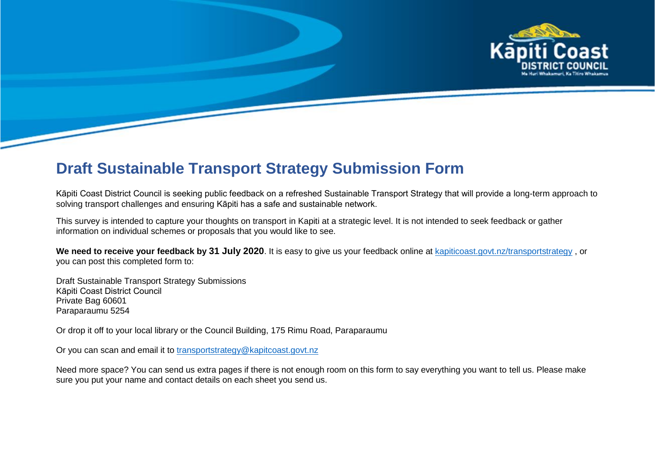

# **Draft Sustainable Transport Strategy Submission Form**

Kāpiti Coast District Council is seeking public feedback on a refreshed Sustainable Transport Strategy that will provide a long-term approach to solving transport challenges and ensuring Kāpiti has a safe and sustainable network.

This survey is intended to capture your thoughts on transport in Kapiti at a strategic level. It is not intended to seek feedback or gather information on individual schemes or proposals that you would like to see.

**We need to receive your feedback by 31 July 2020**. It is easy to give us your feedback online at [kapiticoast.govt.nz/transportstrategy](http://www.kapiticoast.govt.nz/transportstrategy) , or you can post this completed form to:

Draft Sustainable Transport Strategy Submissions Kāpiti Coast District Council Private Bag 60601 Paraparaumu 5254

Or drop it off to your local library or the Council Building, 175 Rimu Road, Paraparaumu

Or you can scan and email it to [transportstrategy@kapitcoast.govt.nz](mailto:transportstrategy@kapitcoast.govt.nz)

Need more space? You can send us extra pages if there is not enough room on this form to say everything you want to tell us. Please make sure you put your name and contact details on each sheet you send us.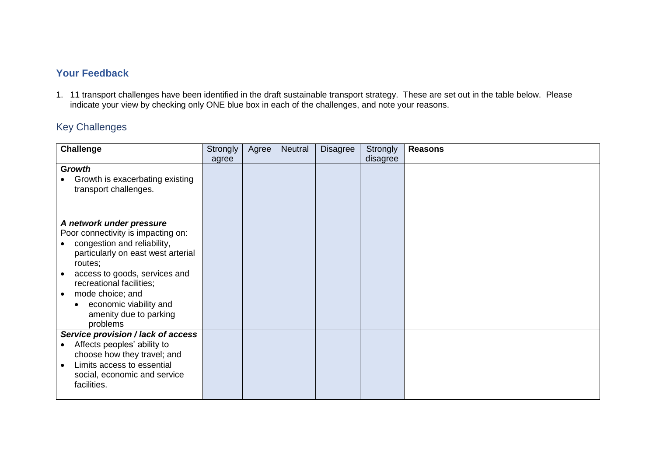# **Your Feedback**

1. 11 transport challenges have been identified in the draft sustainable transport strategy. These are set out in the table below. Please indicate your view by checking only ONE blue box in each of the challenges, and note your reasons.

# Key Challenges

| <b>Challenge</b>                                                                                                                                                                                                                                                                                | <b>Strongly</b> | Agree | Neutral | <b>Disagree</b> | Strongly<br>disagree | <b>Reasons</b> |
|-------------------------------------------------------------------------------------------------------------------------------------------------------------------------------------------------------------------------------------------------------------------------------------------------|-----------------|-------|---------|-----------------|----------------------|----------------|
| <b>Growth</b><br>Growth is exacerbating existing<br>transport challenges.                                                                                                                                                                                                                       | agree           |       |         |                 |                      |                |
| A network under pressure<br>Poor connectivity is impacting on:<br>congestion and reliability,<br>particularly on east west arterial<br>routes;<br>access to goods, services and<br>recreational facilities;<br>mode choice; and<br>economic viability and<br>amenity due to parking<br>problems |                 |       |         |                 |                      |                |
| Service provision / lack of access<br>Affects peoples' ability to<br>choose how they travel; and<br>Limits access to essential<br>social, economic and service<br>facilities.                                                                                                                   |                 |       |         |                 |                      |                |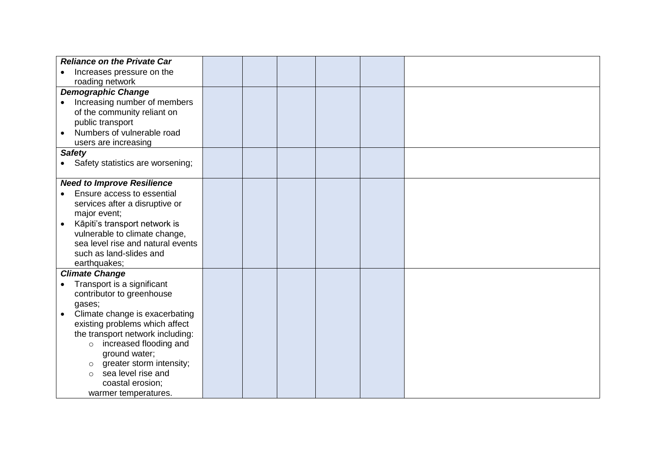| <b>Reliance on the Private Car</b>         |  |  |  |
|--------------------------------------------|--|--|--|
| Increases pressure on the                  |  |  |  |
| roading network                            |  |  |  |
| <b>Demographic Change</b>                  |  |  |  |
| Increasing number of members               |  |  |  |
| of the community reliant on                |  |  |  |
| public transport                           |  |  |  |
| Numbers of vulnerable road                 |  |  |  |
| users are increasing                       |  |  |  |
| <b>Safety</b>                              |  |  |  |
| • Safety statistics are worsening;         |  |  |  |
|                                            |  |  |  |
| <b>Need to Improve Resilience</b>          |  |  |  |
| Ensure access to essential                 |  |  |  |
| services after a disruptive or             |  |  |  |
| major event;                               |  |  |  |
| Kāpiti's transport network is<br>$\bullet$ |  |  |  |
| vulnerable to climate change,              |  |  |  |
| sea level rise and natural events          |  |  |  |
| such as land-slides and                    |  |  |  |
| earthquakes;                               |  |  |  |
| <b>Climate Change</b>                      |  |  |  |
| Transport is a significant                 |  |  |  |
| contributor to greenhouse                  |  |  |  |
| gases;                                     |  |  |  |
| Climate change is exacerbating             |  |  |  |
| existing problems which affect             |  |  |  |
| the transport network including:           |  |  |  |
| increased flooding and<br>$\circ$          |  |  |  |
| ground water;                              |  |  |  |
| greater storm intensity;<br>$\circ$        |  |  |  |
| sea level rise and<br>$\Omega$             |  |  |  |
| coastal erosion;                           |  |  |  |
| warmer temperatures.                       |  |  |  |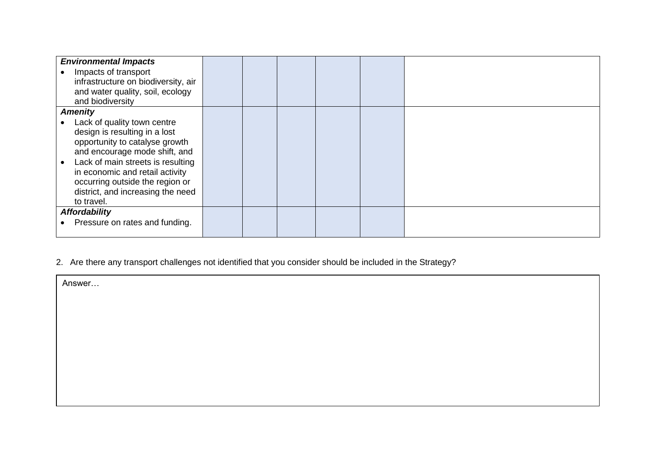| <b>Environmental Impacts</b>        |  |  |  |
|-------------------------------------|--|--|--|
| Impacts of transport                |  |  |  |
| infrastructure on biodiversity, air |  |  |  |
| and water quality, soil, ecology    |  |  |  |
| and biodiversity                    |  |  |  |
| <b>Amenity</b>                      |  |  |  |
| Lack of quality town centre         |  |  |  |
| design is resulting in a lost       |  |  |  |
| opportunity to catalyse growth      |  |  |  |
| and encourage mode shift, and       |  |  |  |
| Lack of main streets is resulting   |  |  |  |
| in economic and retail activity     |  |  |  |
| occurring outside the region or     |  |  |  |
| district, and increasing the need   |  |  |  |
| to travel.                          |  |  |  |
| <b>Affordability</b>                |  |  |  |
| Pressure on rates and funding.      |  |  |  |
|                                     |  |  |  |

# 2. Are there any transport challenges not identified that you consider should be included in the Strategy?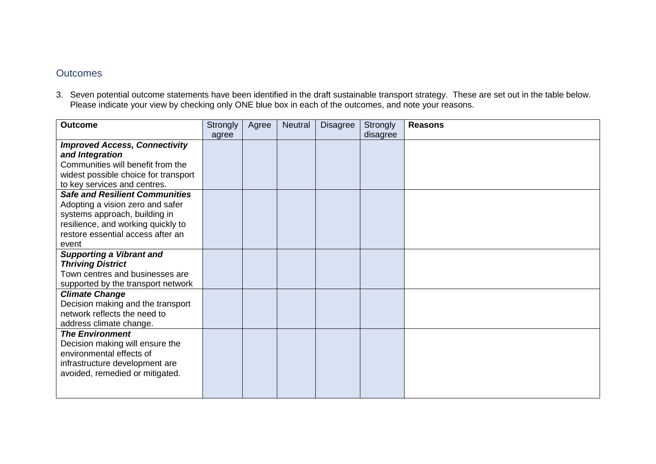### **Outcomes**

3. Seven potential outcome statements have been identified in the draft sustainable transport strategy. These are set out in the table below. Please indicate your view by checking only ONE blue box in each of the outcomes, and note your reasons.

| <b>Outcome</b>                        | Strongly | Agree | <b>Neutral</b> | <b>Disagree</b> | Strongly | <b>Reasons</b> |
|---------------------------------------|----------|-------|----------------|-----------------|----------|----------------|
|                                       | agree    |       |                |                 | disagree |                |
| <b>Improved Access, Connectivity</b>  |          |       |                |                 |          |                |
| and Integration                       |          |       |                |                 |          |                |
| Communities will benefit from the     |          |       |                |                 |          |                |
| widest possible choice for transport  |          |       |                |                 |          |                |
| to key services and centres.          |          |       |                |                 |          |                |
| <b>Safe and Resilient Communities</b> |          |       |                |                 |          |                |
| Adopting a vision zero and safer      |          |       |                |                 |          |                |
| systems approach, building in         |          |       |                |                 |          |                |
| resilience, and working quickly to    |          |       |                |                 |          |                |
| restore essential access after an     |          |       |                |                 |          |                |
| event                                 |          |       |                |                 |          |                |
| <b>Supporting a Vibrant and</b>       |          |       |                |                 |          |                |
| <b>Thriving District</b>              |          |       |                |                 |          |                |
| Town centres and businesses are       |          |       |                |                 |          |                |
| supported by the transport network    |          |       |                |                 |          |                |
| <b>Climate Change</b>                 |          |       |                |                 |          |                |
| Decision making and the transport     |          |       |                |                 |          |                |
| network reflects the need to          |          |       |                |                 |          |                |
| address climate change.               |          |       |                |                 |          |                |
| <b>The Environment</b>                |          |       |                |                 |          |                |
| Decision making will ensure the       |          |       |                |                 |          |                |
| environmental effects of              |          |       |                |                 |          |                |
| infrastructure development are        |          |       |                |                 |          |                |
| avoided, remedied or mitigated.       |          |       |                |                 |          |                |
|                                       |          |       |                |                 |          |                |
|                                       |          |       |                |                 |          |                |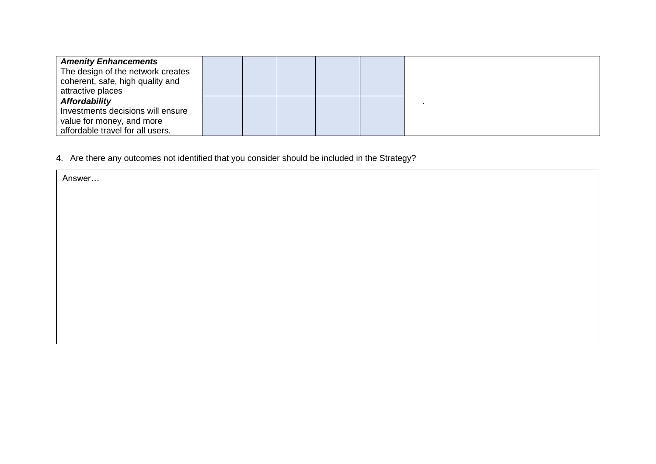| <b>Amenity Enhancements</b>       |  |  |  |
|-----------------------------------|--|--|--|
| The design of the network creates |  |  |  |
| coherent, safe, high quality and  |  |  |  |
| attractive places                 |  |  |  |
| <b>Affordability</b>              |  |  |  |
| Investments decisions will ensure |  |  |  |
| value for money, and more         |  |  |  |
| affordable travel for all users.  |  |  |  |

4. Are there any outcomes not identified that you consider should be included in the Strategy?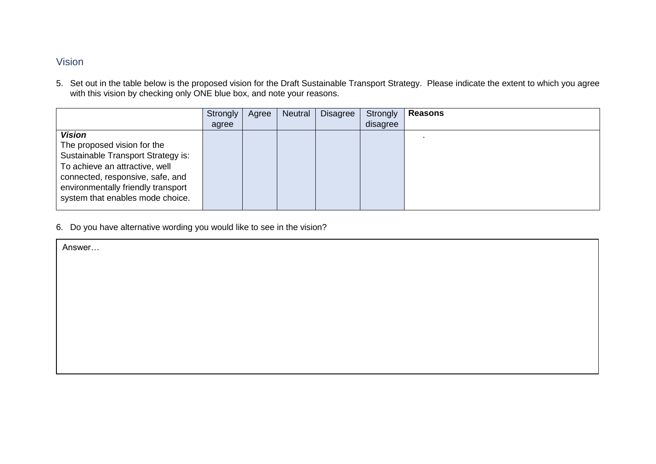## Vision

5. Set out in the table below is the proposed vision for the Draft Sustainable Transport Strategy. Please indicate the extent to which you agree with this vision by checking only ONE blue box, and note your reasons.

|                                    | Strongly | Agree | <b>Neutral</b> | <b>Disagree</b> | Strongly | <b>Reasons</b> |
|------------------------------------|----------|-------|----------------|-----------------|----------|----------------|
|                                    | agree    |       |                |                 | disagree |                |
| <b>Vision</b>                      |          |       |                |                 |          |                |
| The proposed vision for the        |          |       |                |                 |          |                |
| Sustainable Transport Strategy is: |          |       |                |                 |          |                |
| To achieve an attractive, well     |          |       |                |                 |          |                |
| connected, responsive, safe, and   |          |       |                |                 |          |                |
| environmentally friendly transport |          |       |                |                 |          |                |
| system that enables mode choice.   |          |       |                |                 |          |                |
|                                    |          |       |                |                 |          |                |

6. Do you have alternative wording you would like to see in the vision?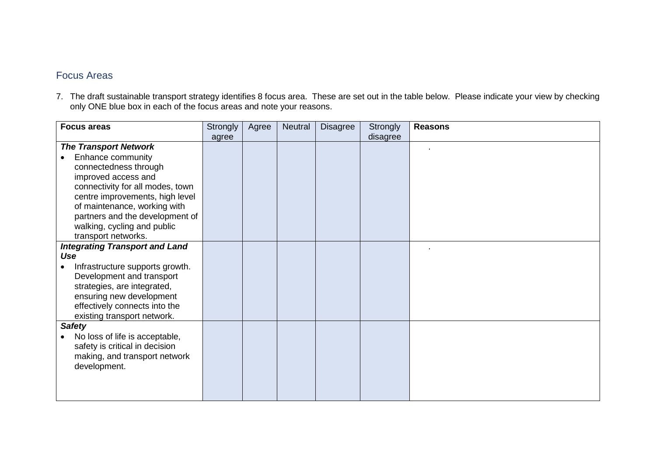### Focus Areas

7. The draft sustainable transport strategy identifies 8 focus area. These are set out in the table below. Please indicate your view by checking only ONE blue box in each of the focus areas and note your reasons.

| <b>Focus areas</b>                    | <b>Strongly</b> | Agree | <b>Neutral</b> | <b>Disagree</b> | Strongly | <b>Reasons</b> |
|---------------------------------------|-----------------|-------|----------------|-----------------|----------|----------------|
|                                       | agree           |       |                |                 | disagree |                |
| <b>The Transport Network</b>          |                 |       |                |                 |          |                |
| Enhance community                     |                 |       |                |                 |          |                |
| connectedness through                 |                 |       |                |                 |          |                |
| improved access and                   |                 |       |                |                 |          |                |
| connectivity for all modes, town      |                 |       |                |                 |          |                |
| centre improvements, high level       |                 |       |                |                 |          |                |
| of maintenance, working with          |                 |       |                |                 |          |                |
| partners and the development of       |                 |       |                |                 |          |                |
| walking, cycling and public           |                 |       |                |                 |          |                |
| transport networks.                   |                 |       |                |                 |          |                |
| <b>Integrating Transport and Land</b> |                 |       |                |                 |          |                |
| Use                                   |                 |       |                |                 |          |                |
| Infrastructure supports growth.       |                 |       |                |                 |          |                |
| Development and transport             |                 |       |                |                 |          |                |
| strategies, are integrated,           |                 |       |                |                 |          |                |
| ensuring new development              |                 |       |                |                 |          |                |
| effectively connects into the         |                 |       |                |                 |          |                |
| existing transport network.           |                 |       |                |                 |          |                |
| <b>Safety</b>                         |                 |       |                |                 |          |                |
| No loss of life is acceptable,        |                 |       |                |                 |          |                |
| safety is critical in decision        |                 |       |                |                 |          |                |
| making, and transport network         |                 |       |                |                 |          |                |
| development.                          |                 |       |                |                 |          |                |
|                                       |                 |       |                |                 |          |                |
|                                       |                 |       |                |                 |          |                |
|                                       |                 |       |                |                 |          |                |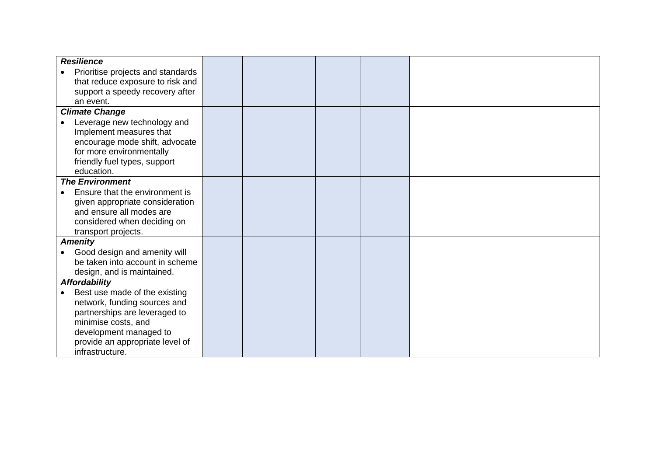| <b>Resilience</b>                 |  |  |  |
|-----------------------------------|--|--|--|
| Prioritise projects and standards |  |  |  |
| that reduce exposure to risk and  |  |  |  |
| support a speedy recovery after   |  |  |  |
| an event.                         |  |  |  |
| <b>Climate Change</b>             |  |  |  |
| Leverage new technology and       |  |  |  |
| Implement measures that           |  |  |  |
| encourage mode shift, advocate    |  |  |  |
| for more environmentally          |  |  |  |
| friendly fuel types, support      |  |  |  |
| education.                        |  |  |  |
| <b>The Environment</b>            |  |  |  |
| Ensure that the environment is    |  |  |  |
| given appropriate consideration   |  |  |  |
| and ensure all modes are          |  |  |  |
| considered when deciding on       |  |  |  |
| transport projects.               |  |  |  |
| <b>Amenity</b>                    |  |  |  |
| Good design and amenity will      |  |  |  |
| be taken into account in scheme   |  |  |  |
| design, and is maintained.        |  |  |  |
| <b>Affordability</b>              |  |  |  |
| Best use made of the existing     |  |  |  |
| network, funding sources and      |  |  |  |
| partnerships are leveraged to     |  |  |  |
| minimise costs, and               |  |  |  |
| development managed to            |  |  |  |
| provide an appropriate level of   |  |  |  |
| infrastructure.                   |  |  |  |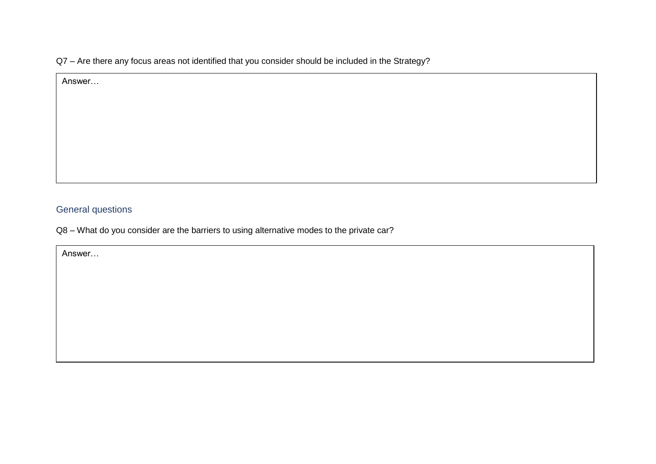Q7 – Are there any focus areas not identified that you consider should be included in the Strategy?

Answer…

# General questions

Q8 – What do you consider are the barriers to using alternative modes to the private car?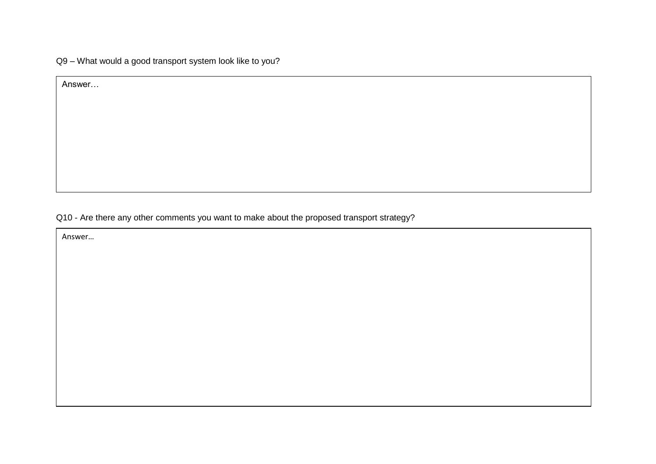Q9 – What would a good transport system look like to you?

Answer…

Q10 - Are there any other comments you want to make about the proposed transport strategy?